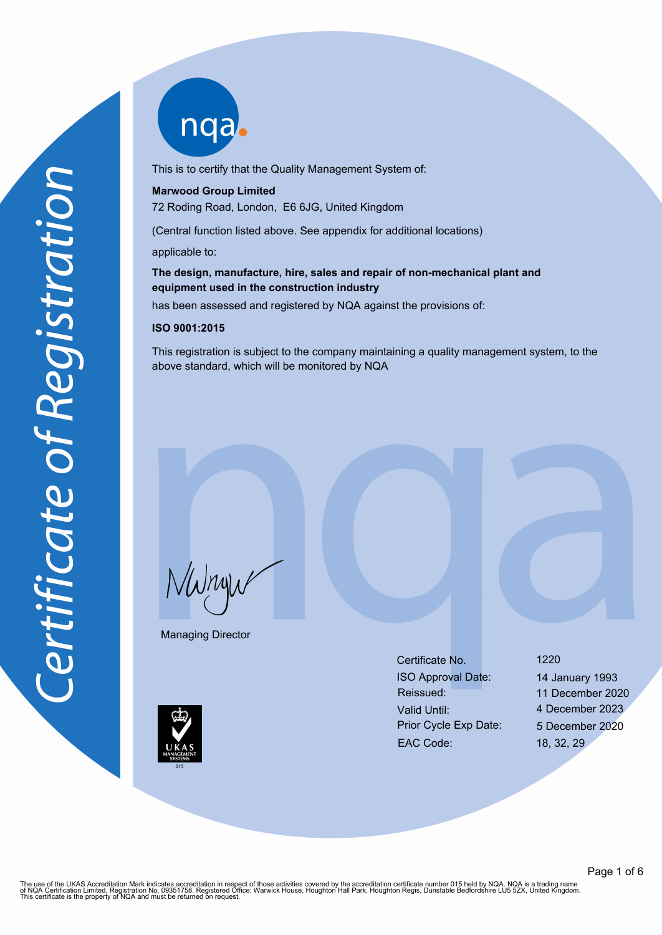This is to certify that the Quality Management System of:

## **Marwood Group Limited**

72 Roding Road, London, E6 6JG, United Kingdom

(Central function listed above. See appendix for additional locations)

applicable to:

# **The design, manufacture, hire, sales and repair of non-mechanical plant and equipment used in the construction industry**

has been assessed and registered by NQA against the provisions of:

## **ISO 9001:2015**

This registration is subject to the company maintaining a quality management system, to the above standard, which will be monitored by NQA

NWnyw

Managing Director

Certificate No. 1220 ISO Approval Date: 14 January 1993 Reissued: 11 December 2020 Valid Until: 4 December 2023 Prior Cycle Exp Date: 5 December 2020 EAC Code: 18, 32, 29

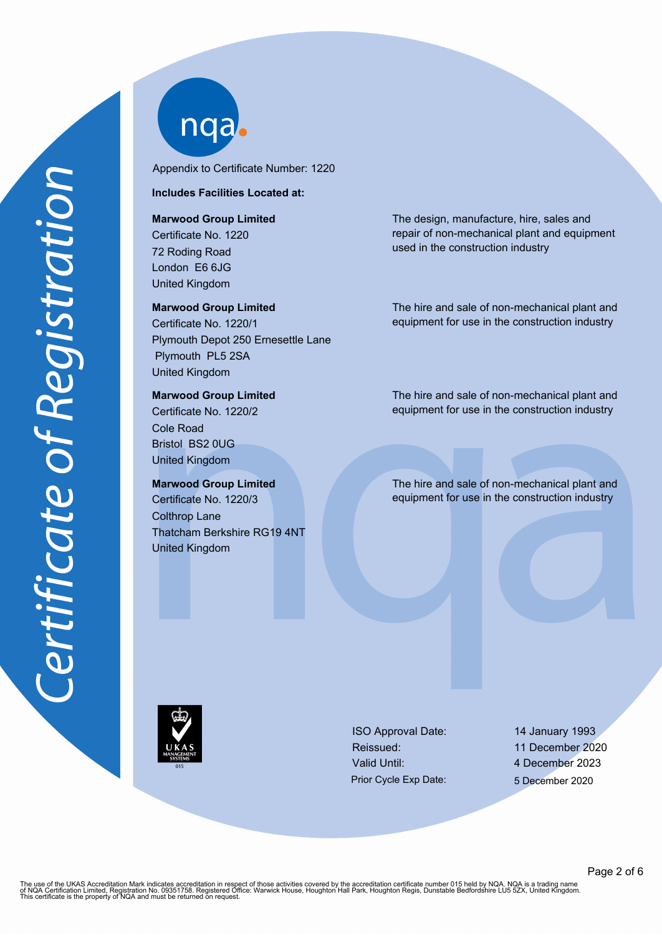Appendix to Certificate Number: 1220

# **Includes Facilities Located at:**

## **Marwood Group Limited**

Certificate No. 1220 72 Roding Road London E6 6JG United Kingdom

## **Marwood Group Limited**

Certificate No. 1220/1 Plymouth Depot 250 Ernesettle Lane Plymouth PL5 2SA United Kingdom

# **Marwood Group Limited**

Certificate No. 1220/2 Cole Road Bristol BS2 0UG United Kingdom

# **Marwood Group Limited**

Certificate No. 1220/3 Colthrop Lane Thatcham Berkshire RG19 4NT United Kingdom

The design, manufacture, hire, sales and repair of non-mechanical plant and equipment used in the construction industry

The hire and sale of non-mechanical plant and equipment for use in the construction industry

The hire and sale of non-mechanical plant and equipment for use in the construction industry

The hire and sale of non-mechanical plant and equipment for use in the construction industry

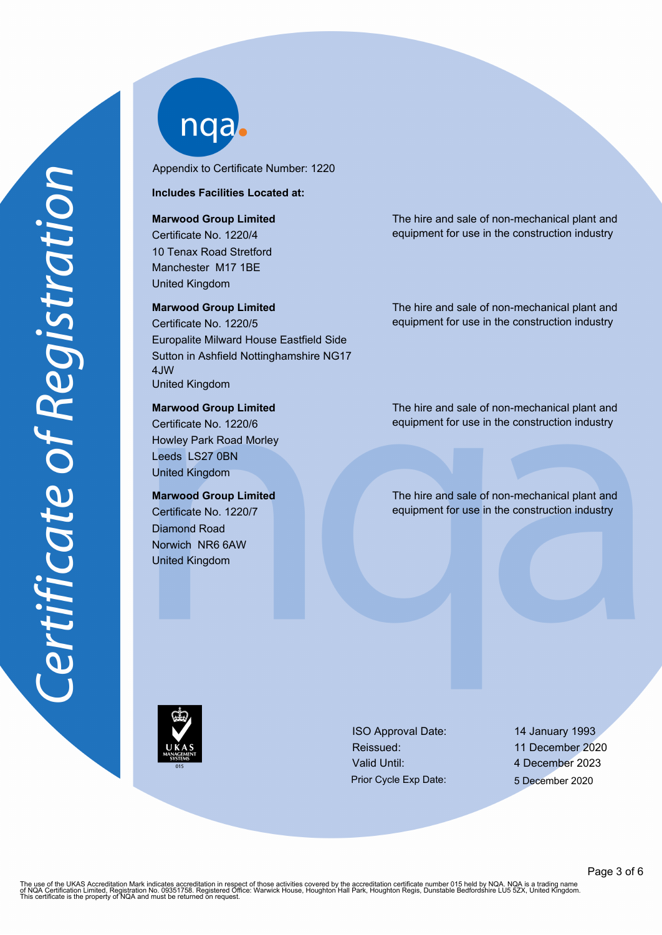Appendix to Certificate Number: 1220

**Includes Facilities Located at:**

### **Marwood Group Limited**

Certificate No. 1220/4 10 Tenax Road Stretford Manchester M17 1BE United Kingdom

### **Marwood Group Limited**

Certificate No. 1220/5 Europalite Milward House Eastfield Side Sutton in Ashfield Nottinghamshire NG17 4JW United Kingdom

# **Marwood Group Limited**

Certificate No. 1220/6 Howley Park Road Morley Leeds LS27 0BN United Kingdom

# **Marwood Group Limited**

Certificate No. 1220/7 Diamond Road Norwich NR6 6AW United Kingdom

The hire and sale of non-mechanical plant and equipment for use in the construction industry

The hire and sale of non-mechanical plant and equipment for use in the construction industry

The hire and sale of non-mechanical plant and equipment for use in the construction industry

The hire and sale of non-mechanical plant and equipment for use in the construction industry

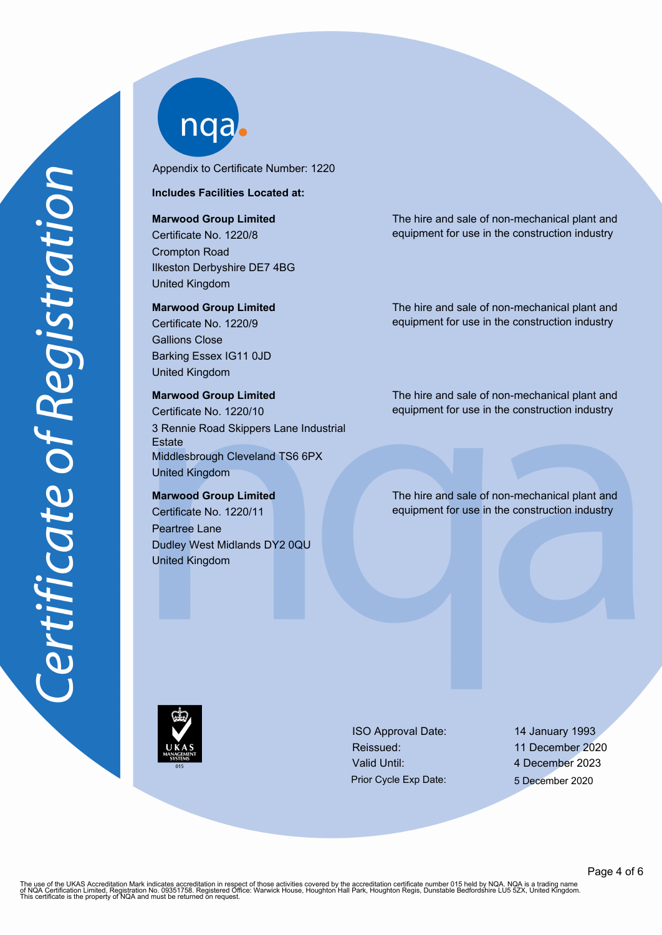

Appendix to Certificate Number: 1220

# **Includes Facilities Located at:**

**Marwood Group Limited**

Certificate No. 1220/8 Crompton Road Ilkeston Derbyshire DE7 4BG United Kingdom

#### **Marwood Group Limited**

Certificate No. 1220/9 Gallions Close Barking Essex IG11 0JD United Kingdom

# **Marwood Group Limited** Certificate No. 1220/10 3 Rennie Road Skippers Lane Industrial **Estate** Middlesbrough Cleveland TS6 6PX United Kingdom

**Marwood Group Limited** Certificate No. 1220/11 Peartree Lane Dudley West Midlands DY2 0QU United Kingdom

The hire and sale of non-mechanical plant and equipment for use in the construction industry

The hire and sale of non-mechanical plant and equipment for use in the construction industry

The hire and sale of non-mechanical plant and equipment for use in the construction industry

The hire and sale of non-mechanical plant and equipment for use in the construction industry

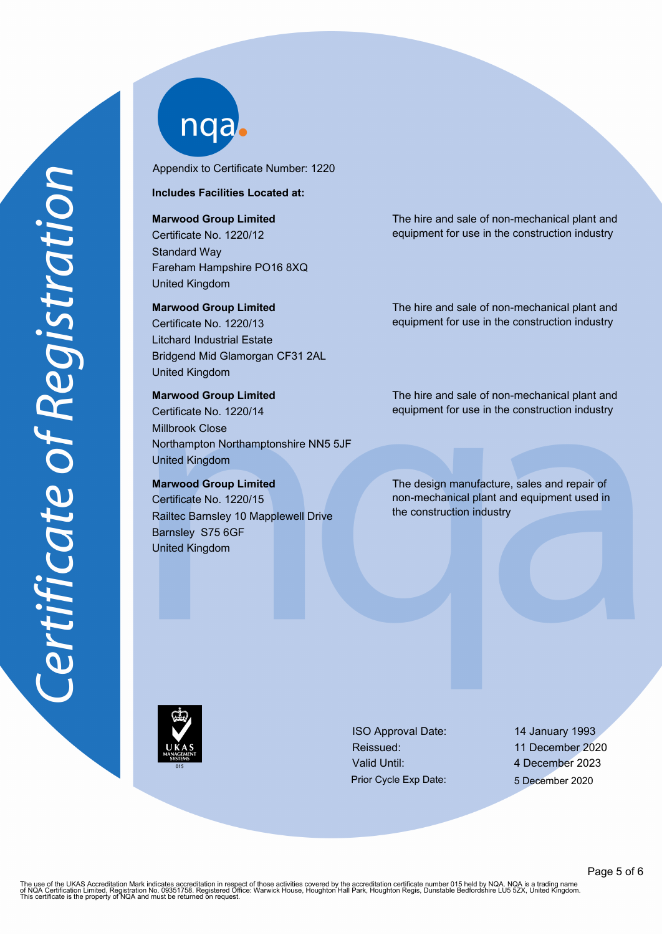Appendix to Certificate Number: 1220

## **Includes Facilities Located at:**

### **Marwood Group Limited**

Certificate No. 1220/12 Standard Way Fareham Hampshire PO16 8XQ United Kingdom

## **Marwood Group Limited**

Certificate No. 1220/13 Litchard Industrial Estate Bridgend Mid Glamorgan CF31 2AL United Kingdom

# **Marwood Group Limited**

Certificate No. 1220/14 Millbrook Close Northampton Northamptonshire NN5 5JF United Kingdom

# **Marwood Group Limited**

Certificate No. 1220/15 Railtec Barnsley 10 Mapplewell Drive Barnsley S75 6GF United Kingdom

The hire and sale of non-mechanical plant and equipment for use in the construction industry

The hire and sale of non-mechanical plant and equipment for use in the construction industry

The hire and sale of non-mechanical plant and equipment for use in the construction industry

The design manufacture, sales and repair of non-mechanical plant and equipment used in the construction industry